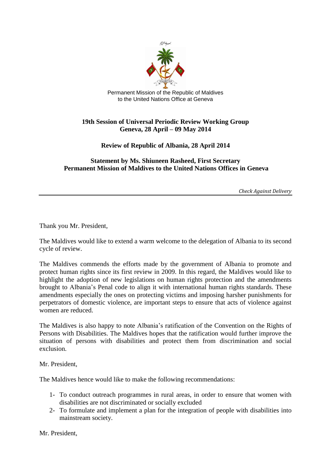

Permanent Mission of the Republic of Maldives to the United Nations Office at Geneva

## **19th Session of Universal Periodic Review Working Group Geneva, 28 April – 09 May 2014**

## **Review of Republic of Albania, 28 April 2014**

## **Statement by Ms. Shiuneen Rasheed, First Secretary Permanent Mission of Maldives to the United Nations Offices in Geneva**

*Check Against Delivery*

Thank you Mr. President,

The Maldives would like to extend a warm welcome to the delegation of Albania to its second cycle of review.

The Maldives commends the efforts made by the government of Albania to promote and protect human rights since its first review in 2009. In this regard, the Maldives would like to highlight the adoption of new legislations on human rights protection and the amendments brought to Albania's Penal code to align it with international human rights standards. These amendments especially the ones on protecting victims and imposing harsher punishments for perpetrators of domestic violence, are important steps to ensure that acts of violence against women are reduced.

The Maldives is also happy to note Albania's ratification of the Convention on the Rights of Persons with Disabilities. The Maldives hopes that the ratification would further improve the situation of persons with disabilities and protect them from discrimination and social exclusion.

Mr. President,

The Maldives hence would like to make the following recommendations:

- 1- To conduct outreach programmes in rural areas, in order to ensure that women with disabilities are not discriminated or socially excluded
- 2- To formulate and implement a plan for the integration of people with disabilities into mainstream society.

Mr. President,